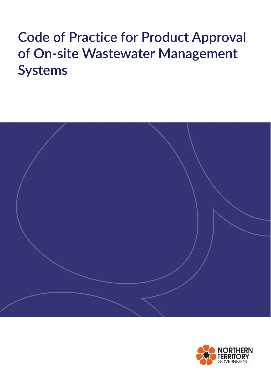# **Code of Practice for Product Approval of On-site Wastewater Management Systems**



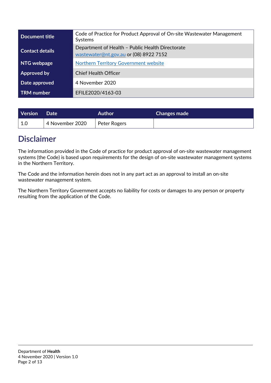| Document title         | Code of Practice for Product Approval of On-site Wastewater Management<br>Systems          |  |
|------------------------|--------------------------------------------------------------------------------------------|--|
| <b>Contact details</b> | Department of Health - Public Health Directorate<br>wastewater@nt.gov.au or (08) 8922 7152 |  |
| NTG webpage            | <b>Northern Territory Government website</b>                                               |  |
| Approved by            | <b>Chief Health Officer</b>                                                                |  |
| Date approved          | 4 November 2020                                                                            |  |
| <b>TRM</b> number      | EFILE2020/4163-03                                                                          |  |

| Version        | <b>Date</b>     | <b>Author</b> | <b>Changes made</b> |
|----------------|-----------------|---------------|---------------------|
| $^{\circ}$ 1.0 | 4 November 2020 | Peter Rogers  |                     |

# <span id="page-1-0"></span>**Disclaimer**

The information provided in the Code of practice for product approval of on-site wastewater management systems (the Code) is based upon requirements for the design of on-site wastewater management systems in the Northern Territory.

The Code and the information herein does not in any part act as an approval to install an on-site wastewater management system.

The Northern Territory Government accepts no liability for costs or damages to any person or property resulting from the application of the Code.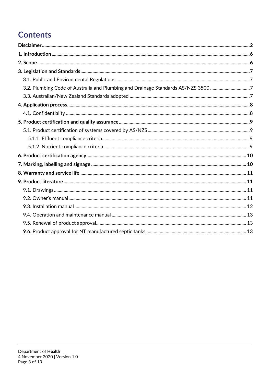# **Contents**

| 3.2. Plumbing Code of Australia and Plumbing and Drainage Standards AS/NZS 3500 7 |  |
|-----------------------------------------------------------------------------------|--|
|                                                                                   |  |
|                                                                                   |  |
|                                                                                   |  |
|                                                                                   |  |
|                                                                                   |  |
|                                                                                   |  |
|                                                                                   |  |
|                                                                                   |  |
|                                                                                   |  |
|                                                                                   |  |
|                                                                                   |  |
|                                                                                   |  |
|                                                                                   |  |
|                                                                                   |  |
|                                                                                   |  |
|                                                                                   |  |
|                                                                                   |  |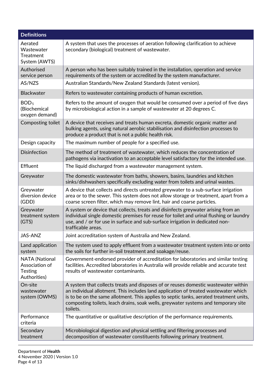| <b>Definitions</b>                                                 |                                                                                                                                                                                                                                                                                                                                                                       |  |  |
|--------------------------------------------------------------------|-----------------------------------------------------------------------------------------------------------------------------------------------------------------------------------------------------------------------------------------------------------------------------------------------------------------------------------------------------------------------|--|--|
| Aerated<br>Wastewater<br><b>Treatment</b><br>System (AWTS)         | A system that uses the processes of aeration following clarification to achieve<br>secondary (biological) treatment of wastewater.                                                                                                                                                                                                                                    |  |  |
| Authorised<br>service person                                       | A person who has been suitably trained in the installation, operation and service<br>requirements of the system or accredited by the system manufacturer.                                                                                                                                                                                                             |  |  |
| AS/NZS                                                             | Australian Standards/New Zealand Standards (latest version).                                                                                                                                                                                                                                                                                                          |  |  |
| <b>Blackwater</b>                                                  | Refers to wastewater containing products of human excretion.                                                                                                                                                                                                                                                                                                          |  |  |
| BOD <sub>5</sub><br>(Biochemical<br>oxygen demand)                 | Refers to the amount of oxygen that would be consumed over a period of five days<br>by microbiological action in a sample of wastewater at 20 degrees C.                                                                                                                                                                                                              |  |  |
| Composting toilet                                                  | A device that receives and treats human excreta, domestic organic matter and<br>bulking agents, using natural aerobic stabilisation and disinfection processes to<br>produce a product that is not a public health risk.                                                                                                                                              |  |  |
| Design capacity                                                    | The maximum number of people for a specified use.                                                                                                                                                                                                                                                                                                                     |  |  |
| <b>Disinfection</b>                                                | The method of treatment of wastewater, which reduces the concentration of<br>pathogens via inactivation to an acceptable level satisfactory for the intended use.                                                                                                                                                                                                     |  |  |
| <b>Effluent</b>                                                    | The liquid discharged from a wastewater management system.                                                                                                                                                                                                                                                                                                            |  |  |
| Greywater                                                          | The domestic wastewater from baths, showers, basins, laundries and kitchen<br>sinks/dishwashers specifically excluding water from toilets and urinal wastes.                                                                                                                                                                                                          |  |  |
| Greywater<br>diversion device<br>(GDD)                             | A device that collects and directs untreated greywater to a sub-surface irrigation<br>area or to the sewer. This system does not allow storage or treatment, apart from a<br>coarse screen filter, which may remove lint, hair and coarse particles.                                                                                                                  |  |  |
| Greywater<br>treatment system<br>(GTS)                             | A system or device that collects, treats and disinfects greywater arising from an<br>individual single domestic premises for reuse for toilet and urinal flushing or laundry<br>use, and / or for use in surface and sub-surface irrigation in dedicated non-<br>trafficable areas.                                                                                   |  |  |
| <b>JAS-ANZ</b>                                                     | Joint accreditation system of Australia and New Zealand.                                                                                                                                                                                                                                                                                                              |  |  |
| Land application<br>system                                         | The system used to apply effluent from a wastewater treatment system into or onto<br>the soils for further in-soil treatment and soakage/reuse.                                                                                                                                                                                                                       |  |  |
| <b>NATA (National</b><br>Association of<br>Testing<br>Authorities) | Government-endorsed provider of accreditation for laboratories and similar testing<br>facilities. Accredited laboratories in Australia will provide reliable and accurate test<br>results of wastewater contaminants.                                                                                                                                                 |  |  |
| On-site<br>wastewater<br>system (OWMS)                             | A system that collects treats and disposes of or reuses domestic wastewater within<br>an individual allotment. This includes land application of treated wastewater which<br>is to be on the same allotment. This applies to septic tanks, aerated treatment units,<br>composting toilets, leach drains, soak wells, greywater systems and temporary site<br>toilets. |  |  |
| Performance<br>criteria                                            | The quantitative or qualitative description of the performance requirements.                                                                                                                                                                                                                                                                                          |  |  |
| Secondary<br>treatment                                             | Microbiological digestion and physical settling and filtering processes and<br>decomposition of wastewater constituents following primary treatment.                                                                                                                                                                                                                  |  |  |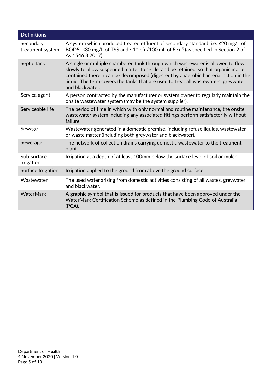| <b>Definitions</b>            |                                                                                                                                                                                                                                                                                                                                                                        |  |
|-------------------------------|------------------------------------------------------------------------------------------------------------------------------------------------------------------------------------------------------------------------------------------------------------------------------------------------------------------------------------------------------------------------|--|
| Secondary<br>treatment system | A system which produced treated effluent of secondary standard, i.e. $\leq$ 20 mg/L of<br>BOD5, ≤30 mg/L of TSS and ≤10 cfu/100 mL of E.coli (as specified in Section 2 of<br>As 1546.3:2017).                                                                                                                                                                         |  |
| Septic tank                   | A single or multiple chambered tank through which wastewater is allowed to flow<br>slowly to allow suspended matter to settle and be retained, so that organic matter<br>contained therein can be decomposed (digested) by anaerobic bacterial action in the<br>liquid. The term covers the tanks that are used to treat all wastewaters, greywater<br>and blackwater. |  |
| Service agent                 | A person contracted by the manufacturer or system owner to regularly maintain the<br>onsite wastewater system (may be the system supplier).                                                                                                                                                                                                                            |  |
| Serviceable life              | The period of time in which with only normal and routine maintenance, the onsite<br>wastewater system including any associated fittings perform satisfactorily without<br>failure.                                                                                                                                                                                     |  |
| Sewage                        | Wastewater generated in a domestic premise, including refuse liquids, wastewater<br>or waste matter (including both greywater and blackwater).                                                                                                                                                                                                                         |  |
| Sewerage                      | The network of collection drains carrying domestic wastewater to the treatment<br>plant.                                                                                                                                                                                                                                                                               |  |
| Sub-surface<br>irrigation     | Irrigation at a depth of at least 100mm below the surface level of soil or mulch.                                                                                                                                                                                                                                                                                      |  |
| Surface Irrigation            | Irrigation applied to the ground from above the ground surface.                                                                                                                                                                                                                                                                                                        |  |
| Wastewater                    | The used water arising from domestic activities consisting of all wastes, greywater<br>and blackwater.                                                                                                                                                                                                                                                                 |  |
| WaterMark                     | A graphic symbol that is issued for products that have been approved under the<br>WaterMark Certification Scheme as defined in the Plumbing Code of Australia<br>(PCA).                                                                                                                                                                                                |  |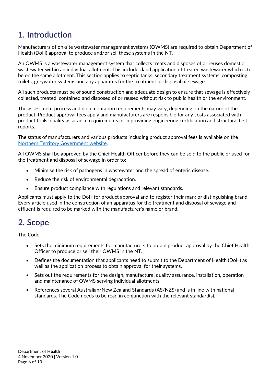# <span id="page-5-0"></span>**1. Introduction**

Manufacturers of on-site wastewater management systems (OWMS) are required to obtain Department of Health (DoH) approval to produce and/or sell these systems in the NT.

An OWMS is a wastewater management system that collects treats and disposes of or reuses domestic wastewater within an individual allotment. This includes land application of treated wastewater which is to be on the same allotment. This section applies to septic tanks, secondary treatment systems, composting toilets, greywater systems and any apparatus for the treatment or disposal of sewage.

All such products must be of sound construction and adequate design to ensure that sewage is effectively collected, treated, contained and disposed of or reused without risk to public health or the environment.

The assessment process and documentation requirements may vary, depending on the nature of the product. Product approval fees apply and manufacturers are responsible for any costs associated with product trials, quality assurance requirements or in providing engineering certification and structural test reports.

The status of manufacturers and various products including product approval fees is available on the [Northern Territory Government website.](https://nt.gov.au/property/building/install-a-wastewater-system/wastewater-management/outside-building-control-areas)

All OWMS shall be approved by the Chief Health Officer before they can be sold to the public or used for the treatment and disposal of sewage in order to:

- Minimise the risk of pathogens in wastewater and the spread of enteric disease.
- Reduce the risk of environmental degradation.
- Ensure product compliance with regulations and relevant standards.

Applicants must apply to the DoH for product approval and to register their mark or distinguishing brand. Every article used in the construction of an apparatus for the treatment and disposal of sewage and effluent is required to be marked with the manufacturer's name or brand.

### <span id="page-5-1"></span>**2. Scope**

The Code:

- Sets the minimum requirements for manufacturers to obtain product approval by the Chief Health Officer to produce or sell their OWMS in the NT.
- Defines the documentation that applicants need to submit to the Department of Health (DoH) as well as the application process to obtain approval for their systems.
- Sets out the requirements for the design, manufacture, quality assurance, installation, operation and maintenance of OWMS serving individual allotments.
- References several Australian/New Zealand Standards (AS/NZS) and is in line with national standards. The Code needs to be read in conjunction with the relevant standard(s).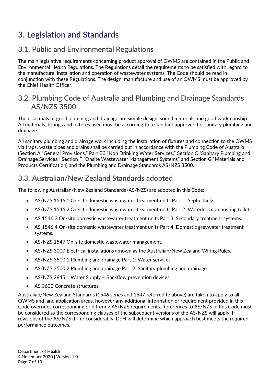# <span id="page-6-0"></span>**3. Legislation and Standards**

### <span id="page-6-1"></span>**3.1. Public and Environmental Regulations**

The main legislative requirements concerning product approval of OWMS are contained in the Public and Environmental Health Regulations. The Regulations detail the requirements to be satisfied with regard to the manufacture, installation and operation of wastewater systems. The Code should be read in conjunction with these Regulations. The design, manufacture and use of an OWMS must be approved by the Chief Health Officer.

#### <span id="page-6-2"></span>**3.2. Plumbing Code of Australia and Plumbing and Drainage Standards AS/NZS 3500**

The essentials of good plumbing and drainage are simple design, sound materials and good workmanship. All materials, fittings and fixtures used must be according to a standard approved for sanitary plumbing and drainage.

All sanitary plumbing and drainage work including the installation of fixtures and connection to the OWMS via traps, waste pipes and drains shall be carried out in accordance with the Plumbing Code of Australia (Section A "General Provisions," Part B3 "Non Drinking Water Services," Section C "Sanitary Plumbing and Drainage Services," Section F "Onsite Wastewater Management Systems" and Section G "Materials and Products Certification) and the Plumbing and Drainage Standards AS/NZS 3500.

### <span id="page-6-3"></span>**3.3. Australian/New Zealand Standards adopted**

The following Australian/New Zealand Standards (AS/NZS) are adopted in this Code:

- AS/NZS 1546.1 On-site domestic wastewater treatment units Part 1: Septic tanks.
- AS/NZS 1546.2 On-site domestic wastewater treatment units Part 2: Waterless composting toilets.
- AS 1546.3 On-site domestic wastewater treatment units Part 3: Secondary treatment systems.
- AS 1546.4 On-site domestic wastewater treatment units Part 4: Domestic greywater treatment systems.
- AS/NZS 1547 On-site domestic wastewater management.
- AS/NZS 3000 Electrical installations (known as the Australian/New Zealand Wiring Rules.
- AS/NZS 3500.1 Plumbing and drainage Part 1: Water services.
- AS/NZS 3500.2 Plumbing and drainage Part 2: Sanitary plumbing and drainage.
- AS/NZS 2845.1 Water Supply Backflow prevention devices.
- AS 3600 Concrete structures.

<span id="page-6-4"></span>Australian/New Zealand Standards (1546 series and 1547 referred to above) are taken to apply to all OWMS and land application areas, however any additional information or requirement provided in this Code overrides corresponding or differing AS/NZS requirements. References to AS/NZS in this Code must be considered as the corresponding clauses of the subsequent versions of the AS/NZS will apply. If revisions of the AS/NZS differ considerably, DoH will determine which approach best meets the required performance outcomes.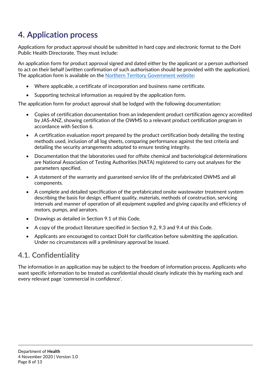# **4. Application process**

Applications for product approval should be submitted in hard copy and electronic format to the DoH Public Health Directorate. They must include:

An application form for product approval signed and dated either by the applicant or a person authorised to act on their behalf (written confirmation of such authorisation should be provided with the application). The application form is available on the [Northern Territory Government website:](https://nt.gov.au/property/building/install-a-wastewater-system/wastewater-management/outside-building-control-areas)

- Where applicable, a certificate of incorporation and business name certificate.
- Supporting technical information as required by the application form.

The application form for product approval shall be lodged with the following documentation:

- Copies of certification documentation from an independent product certification agency accredited by JAS-ANZ, showing certification of the OWMS to a relevant product certification program in accordance with Section 6.
- A certification evaluation report prepared by the product certification body detailing the testing methods used, inclusion of all log sheets, comparing performance against the test criteria and detailing the security arrangements adopted to ensure testing integrity.
- Documentation that the laboratories used for offsite chemical and bacteriological determinations are National Association of Testing Authorities (NATA) registered to carry out analyses for the parameters specified.
- A statement of the warranty and guaranteed service life of the prefabricated OWMS and all components.
- A complete and detailed specification of the prefabricated onsite wastewater treatment system describing the basis for design, effluent quality, materials, methods of construction, servicing intervals and manner of operation of all equipment supplied and giving capacity and efficiency of motors, pumps, and aerators.
- Drawings as detailed in Section 9.1 of this Code.
- A copy of the product literature specified in Section 9.2, 9.3 and 9.4 of this Code.
- Applicants are encouraged to contact DoH for clarification before submitting the application. Under no circumstances will a preliminary approval be issued.

#### <span id="page-7-0"></span>**4.1. Confidentiality**

The information in an application may be subject to the freedom of information process. Applicants who want specific information to be treated as confidential should clearly indicate this by marking each and every relevant page 'commercial in confidence'.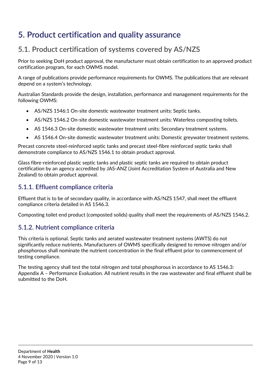# <span id="page-8-0"></span>**5. Product certification and quality assurance**

### <span id="page-8-1"></span>**5.1. Product certification of systems covered by AS/NZS**

Prior to seeking DoH product approval, the manufacturer must obtain certification to an approved product certification program, for each OWMS model.

A range of publications provide performance requirements for OWMS. The publications that are relevant depend on a system's technology.

Australian Standards provide the design, installation, performance and management requirements for the following OWMS:

- AS/NZS 1546:1 On-site domestic wastewater treatment units: Septic tanks.
- AS/NZS 1546.2 On-site domestic wastewater treatment units: Waterless composting toilets.
- AS 1546.3 On-site domestic wastewater treatment units: Secondary treatment systems.
- AS 1546.4 On-site domestic wastewater treatment units: Domestic greywater treatment systems.

Precast concrete steel-reinforced septic tanks and precast steel-fibre reinforced septic tanks shall demonstrate compliance to AS/NZS 1546.1 to obtain product approval.

Glass fibre-reinforced plastic septic tanks and plastic septic tanks are required to obtain product certification by an agency accredited by JAS-ANZ (Joint Accreditation System of Australia and New Zealand) to obtain product approval.

#### <span id="page-8-2"></span>**5.1.1. Effluent compliance criteria**

Effluent that is to be of secondary quality, in accordance with AS/NZS 1547, shall meet the effluent compliance criteria detailed in AS 1546.3.

Composting toilet end product (composted solids) quality shall meet the requirements of AS/NZS 1546.2.

#### <span id="page-8-3"></span>**5.1.2. Nutrient compliance criteria**

This criteria is optional. Septic tanks and aerated wastewater treatment systems (AWTS) do not significantly reduce nutrients. Manufacturers of OWMS specifically designed to remove nitrogen and/or phosphorous shall nominate the nutrient concentration in the final effluent prior to commencement of testing compliance.

The testing agency shall test the total nitrogen and total phosphorous in accordance to AS 1546.3: Appendix A – Performance Evaluation. All nutrient results in the raw wastewater and final effluent shall be submitted to the DoH.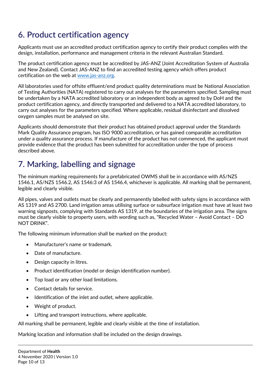# <span id="page-9-0"></span>**6. Product certification agency**

Applicants must use an accredited product certification agency to certify their product complies with the design, installation, performance and management criteria in the relevant Australian Standard.

The product certification agency must be accredited by JAS-ANZ (Joint Accreditation System of Australia and New Zealand). Contact JAS-ANZ to find an accredited testing agency which offers product certification on the web at [www.jas-anz.org.](file://prod.main.ntgov/ntg/dhf/ccp/GROUPS/DATA/Envhlth%20Program%20Directorate/_POLICY/STANDARDS%20&%20CODES%20&%20GUIDELINES/CODE%20OF%20PRACTICE%20FOR%20PRODUCT%20APPROVAL%20OF%20OWMS/www.jas-anz.org)

All laboratories used for offsite effluent/end product quality determinations must be National Association of Testing Authorities (NATA) registered to carry out analyses for the parameters specified. Sampling must be undertaken by a NATA accredited laboratory or an independent body as agreed to by DoH and the product certification agency, and directly transported and delivered to a NATA accredited laboratory, to carry out analyses for the parameters specified. Where applicable, residual disinfectant and dissolved oxygen samples must be analysed on site.

Applicants should demonstrate that their product has obtained product approval under the Standards Mark Quality Assurance program, has ISO 9000 accreditation, or has gained comparable accreditation under a quality assurance process. If manufacture of the product has not commenced, the applicant must provide evidence that the product has been submitted for accreditation under the type of process described above.

# <span id="page-9-1"></span>**7. Marking, labelling and signage**

The minimum marking requirements for a prefabricated OWMS shall be in accordance with AS/NZS 1546.1, AS/NZS 1546.2, AS 1546:3 of AS 1546.4, whichever is applicable. All marking shall be permanent, legible and clearly visible.

All pipes, valves and outlets must be clearly and permanently labelled with safety signs in accordance with AS 1319 and AS 2700. Land irrigation areas utilising surface or subsurface irrigation must have at least two warning signposts, complying with Standards AS 1319, at the boundaries of the irrigation area. The signs must be clearly visible to property users, with wording such as, "Recycled Water – Avoid Contact – DO NOT DRINK".

The following minimum information shall be marked on the product:

- Manufacturer's name or trademark.
- Date of manufacture.
- Design capacity in litres.
- Product identification (model or design identification number).
- Top load or any other load limitations.
- Contact details for service.
- Identification of the inlet and outlet, where applicable.
- Weight of product.
- Lifting and transport instructions, where applicable.

All marking shall be permanent, legible and clearly visible at the time of installation.

Marking location and information shall be included on the design drawings.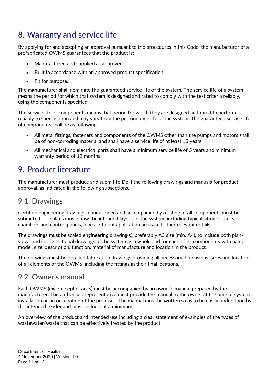# <span id="page-10-0"></span>**8. Warranty and service life**

By applying for and accepting an approval pursuant to the procedures in this Code, the manufacturer of a prefabricated OWMS guarantees that the product is:

- Manufactured and supplied as approved.
- Built in accordance with an approved product specification.
- Fit for purpose.

The manufacturer shall nominate the guaranteed service life of the system. The service life of a system means the period for which that system is designed and rated to comply with the test criteria reliably, using the components specified.

The service life of components means that period for which they are designed and rated to perform reliably to specification and may vary from the performance life of the system. The guaranteed service life of components shall be as following:

- All metal fittings, fasteners and components of the OWMS other than the pumps and motors shall be of non-corroding material and shall have a service life of at least 15 years
- All mechanical and electrical parts shall have a minimum service life of 5 years and minimum warranty period of 12 months.

### <span id="page-10-1"></span>**9. Product literature**

The manufacturer must produce and submit to DoH the following drawings and manuals for product approval, as indicated in the following subsections.

### <span id="page-10-2"></span>**9.1. Drawings**

Certified engineering drawings, dimensioned and accompanied by a listing of all components must be submitted. The plans must show the intended layout of the system, including typical siting of tanks, chambers and control panels, pipes, effluent application areas and other relevant details.

The drawings must be scaled engineering drawing(s), preferably A3 size (min. A4), to include both planviews and cross-sectional drawings of the system as a whole and for each of its components with name, model, size, description, function, material of manufacture and location in the product.

The drawings must be detailed fabrication drawings providing all necessary dimensions, sizes and locations of all elements of the OWMS, including the fittings in their final locations.

#### <span id="page-10-3"></span>**9.2. Owner's manual**

Each OWMS (except septic tanks) must be accompanied by an owner's manual prepared by the manufacturer. The authorised representative must provide the manual to the owner at the time of system installation or on occupation of the premises. The manual must be written so as to be easily understood by the intended reader and must include, at a minimum:

An overview of the product and intended use including a clear statement of examples of the types of wastewater/waste that can be effectively treated by the product: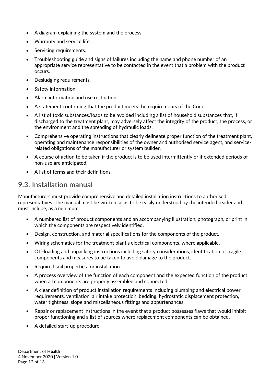- A diagram explaining the system and the process.
- Warranty and service life.
- Servicing requirements.
- Troubleshooting guide and signs of failures including the name and phone number of an appropriate service representative to be contacted in the event that a problem with the product occurs.
- Desludging requirements.
- Safety information.
- Alarm information and use restriction.
- A statement confirming that the product meets the requirements of the Code.
- A list of toxic substances/loads to be avoided including a list of household substances that, if discharged to the treatment plant, may adversely affect the integrity of the product, the process, or the environment and the spreading of hydraulic loads.
- Comprehensive operating instructions that clearly delineate proper function of the treatment plant, operating and maintenance responsibilities of the owner and authorised service agent, and servicerelated obligations of the manufacturer or system builder.
- A course of action to be taken if the product is to be used intermittently or if extended periods of non-use are anticipated.
- A list of terms and their definitions.

#### <span id="page-11-0"></span>**9.3. Installation manual**

Manufacturers must provide comprehensive and detailed installation instructions to authorised representatives. The manual must be written so as to be easily understood by the intended reader and must include, as a minimum:

- A numbered list of product components and an accompanying illustration, photograph, or print in which the components are respectively identified.
- Design, construction, and material specifications for the components of the product.
- Wiring schematics for the treatment plant's electrical components, where applicable.
- Off-loading and unpacking instructions including safety considerations, identification of fragile components and measures to be taken to avoid damage to the product.
- Required soil properties for installation.
- A process overview of the function of each component and the expected function of the product when all components are properly assembled and connected.
- A clear definition of product installation requirements including plumbing and electrical power requirements, ventilation, air intake protection, bedding, hydrostatic displacement protection, water tightness, slope and miscellaneous fittings and appurtenances.
- Repair or replacement instructions in the event that a product possesses flaws that would inhibit proper functioning and a list of sources where replacement components can be obtained.
- A detailed start-up procedure.